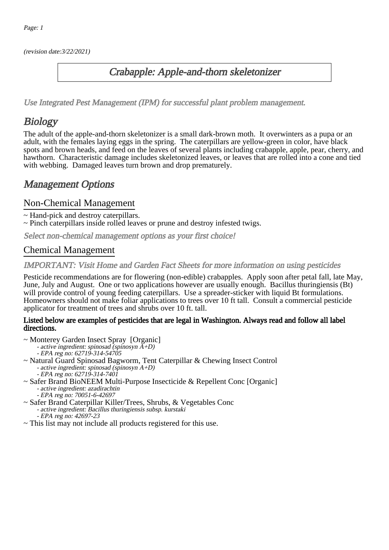(revision date:3/22/2021)

## Crabapple: Apple-and-thorn skeletonizer

[Use Integrated Pest Management \(IPM\) for successful plant problem management.](http://pep.wsu.edu/Home_Garden/H_G_Pesticide_info/urban_Integrated_Pest_Managmen/)

## **Biology**

The adult of the apple-and-thorn skeletonizer is a small dark-brown moth. It overwinters as a pupa or an adult, with the females laying eggs in the spring. The caterpillars are yellow-green in color, have black spots and brown heads, and feed on the leaves of several plants including crabapple, apple, pear, cherry, and hawthorn. Characteristic damage includes skeletonized leaves, or leaves that are rolled into a cone and tied with webbing. Damaged leaves turn brown and drop prematurely.

## Management Options

### Non-Chemical Management

- ~ Hand-pick and destroy caterpillars.
- ~ Pinch caterpillars inside rolled leaves or prune and destroy infested twigs.

Select non-chemical management options as your first choice!

### Chemical Management

IMPORTANT: [Visit Home and Garden Fact Sheets for more information on using pesticides](http://pep.wsu.edu/Home_Garden/H_G_Pesticide_info/)

Pesticide recommendations are for flowering (non-edible) crabapples. Apply soon after petal fall, late May, June, July and August. One or two applications however are usually enough. Bacillus thuringiensis (Bt) will provide control of young feeding caterpillars. Use a spreader-sticker with liquid Bt formulations. Homeowners should not make foliar applications to trees over 10 ft tall. Consult a commercial pesticide applicator for treatment of trees and shrubs over 10 ft. tall.

#### Listed below are examples of pesticides that are legal in Washington. Always read and follow all label directions.

- ~ Monterey Garden Insect Spray [Organic]
	- active ingredient: spinosad (spinosyn A+D)
	- EPA reg no: 62719-314-54705
- ~ Natural Guard Spinosad Bagworm, Tent Caterpillar & Chewing Insect Control
	- active ingredient: spinosad (spinosyn A+D)
	- EPA reg no: 62719-314-7401
- ~ Safer Brand BioNEEM Multi-Purpose Insecticide & Repellent Conc [Organic] - active ingredient: azadirachtin
	- EPA reg no: 70051-6-42697
- ~ Safer Brand Caterpillar Killer/Trees, Shrubs, & Vegetables Conc - active ingredient: Bacillus thuringiensis subsp. kurstaki - EPA reg no: 42697-23
- ~ This list may not include all products registered for this use.